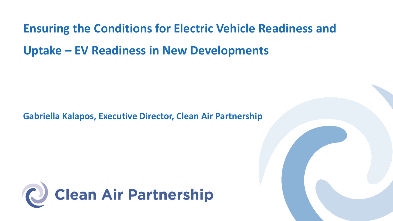**Ensuring the Conditions for Electric Vehicle Readiness and Uptake – EV Readiness in New Developments** 

**Gabriella Kalapos, Executive Director, Clean Air Partnership** 

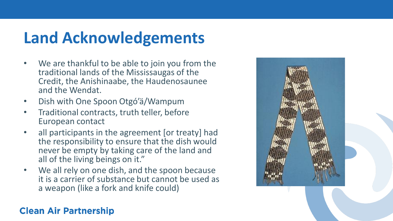## **Land Acknowledgements**

- We are thankful to be able to join you from the traditional lands of the Mississaugas of the Credit, the Anishinaabe, the Haudenosaunee and the Wendat.
- Dish with One Spoon Otgó'ä/Wampum
- Traditional contracts, truth teller, before European contact
- all participants in the agreement [or treaty] had the responsibility to ensure that the dish would never be empty by taking care of the land and all of the living beings on it."
- We all rely on one dish, and the spoon because it is a carrier of substance but cannot be used as a weapon (like a fork and knife could)

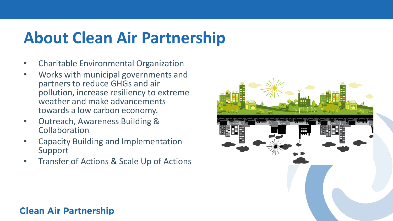## **About Clean Air Partnership**

- Charitable Environmental Organization
- Works with municipal governments and partners to reduce GHGs and air pollution, increase resiliency to extreme weather and make advancements towards a low carbon economy.
- Outreach, Awareness Building & Collaboration
- Capacity Building and Implementation Support
- Transfer of Actions & Scale Up of Actions

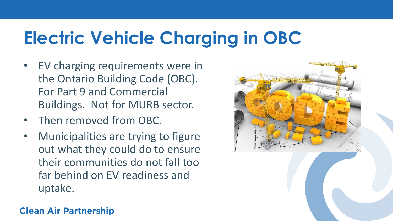## **Electric Vehicle Charging in OBC**

- EV charging requirements were in the Ontario Building Code (OBC). For Part 9 and Commercial Buildings. Not for MURB sector.
- Then removed from OBC.
- Municipalities are trying to figure out what they could do to ensure their communities do not fall too far behind on EV readiness and uptake.

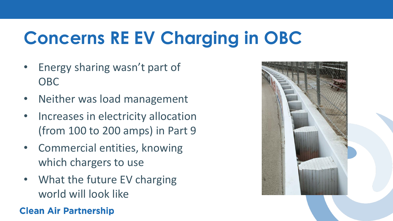# **Concerns RE EV Charging in OBC**

- Energy sharing wasn't part of OBC
- Neither was load management
- Increases in electricity allocation (from 100 to 200 amps) in Part 9
- Commercial entities, knowing which chargers to use
- What the future EV charging world will look like

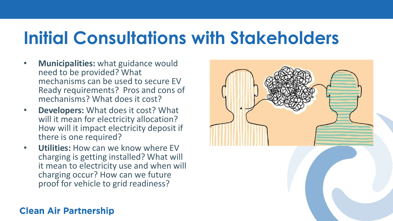## **Initial Consultations with Stakeholders**

- **Municipalities:** what guidance would need to be provided? What mechanisms can be used to secure EV Ready requirements? Pros and cons of mechanisms? What does it cost?
- **Developers:** What does it cost? What will it mean for electricity allocation? How will it impact electricity deposit if there is one required?
- **Utilities:** How can we know where EV charging is getting installed? What will it mean to electricity use and when will charging occur? How can we future proof for vehicle to grid readiness?

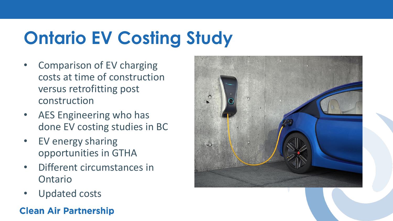# **Ontario EV Costing Study**

- Comparison of EV charging costs at time of construction versus retrofitting post construction
- AES Engineering who has done EV costing studies in BC
- EV energy sharing opportunities in GTHA
- Different circumstances in Ontario
- Updated costs

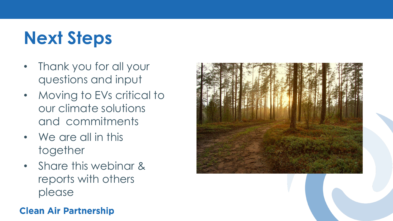# **Next Steps**

- Thank you for all your questions and input
- Moving to EVs critical to our climate solutions and commitments
- We are all in this together
- Share this webinar & reports with others please